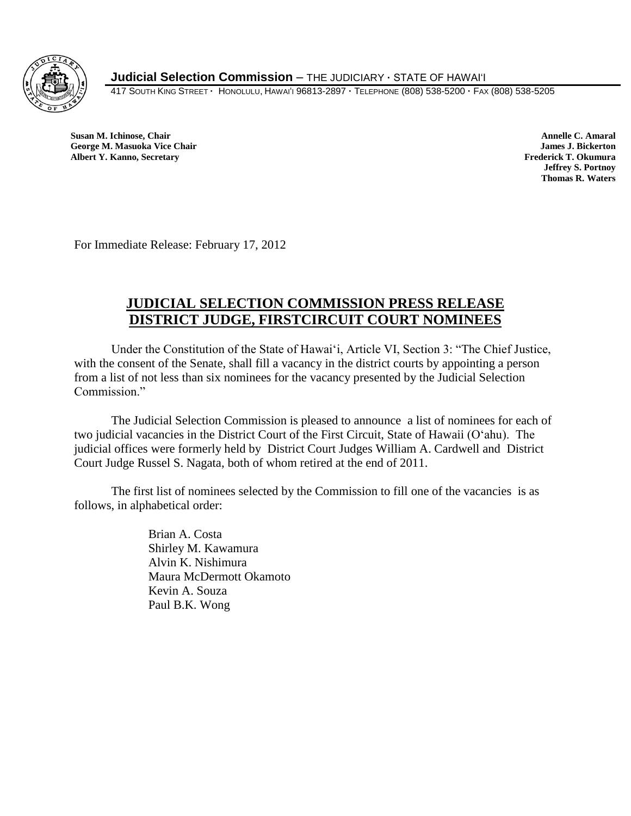

**Judicial Selection Commission** – THE JUDICIARY **·** STATE OF HAWAI'I

417 SOUTH KING STREET **·** HONOLULU, HAWAI'I 96813-2897 **·** TELEPHONE (808) 538-5200 **·** FAX (808) 538-5205

 **Susan M. Ichinose, Chair Annelle C. Amaral George M. Masuoka Vice Chair James J. Bickerton Albert Y. Kanno, Secretary Frederick T. Okumura** 

**Jeffrey S. Portnoy Thomas R. Waters**

For Immediate Release: February 17, 2012

## **JUDICIAL SELECTION COMMISSION PRESS RELEASE DISTRICT JUDGE, FIRSTCIRCUIT COURT NOMINEES**

Under the Constitution of the State of Hawaiʻi, Article VI, Section 3: "The Chief Justice, with the consent of the Senate, shall fill a vacancy in the district courts by appointing a person from a list of not less than six nominees for the vacancy presented by the Judicial Selection Commission."

The Judicial Selection Commission is pleased to announce a list of nominees for each of two judicial vacancies in the District Court of the First Circuit, State of Hawaii (Oʻahu). The judicial offices were formerly held by District Court Judges William A. Cardwell and District Court Judge Russel S. Nagata, both of whom retired at the end of 2011.

The first list of nominees selected by the Commission to fill one of the vacancies is as follows, in alphabetical order:

> Brian A. Costa Shirley M. Kawamura Alvin K. Nishimura Maura McDermott Okamoto Kevin A. Souza Paul B.K. Wong